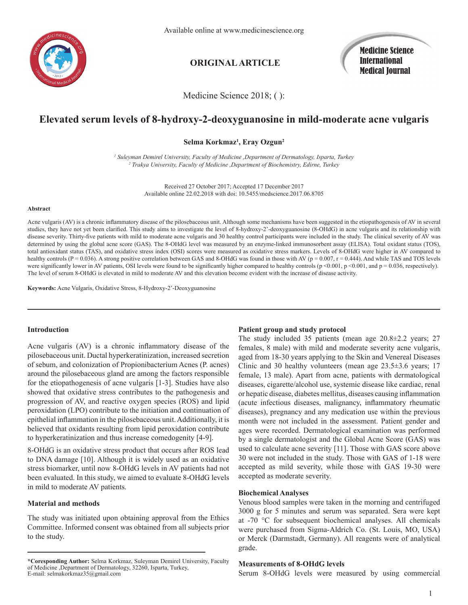

# **ORIGINAL ARTICLE**

Medicine Science International Medical Journal

Medicine Science 2018; ( ):

# **Elevated serum levels of 8-hydroxy-2-deoxyguanosine in mild-moderate acne vulgaris**

# **Selma Korkmaz1 , Eray Ozgun2**

*1 Suleyman Demirel University, Faculty of Medicine ,Department of Dermatology, Isparta, Turkey 2 Trakya University, Faculty of Medicine ,Department of Biochemistry, Edirne, Turkey*

> Received 27 October 2017; Accepted 17 December 2017 Available online 22.02.2018 with doi: 10.5455/medscience.2017.06.8705

#### **Abstract**

Acne vulgaris (AV) is a chronic inflammatory disease of the pilosebaceous unit. Although some mechanisms have been suggested in the etiopathogenesis of AV in several studies, they have not yet been clarified. This study aims to investigate the level of 8-hydroxy-2'-deoxyguanosine (8-OHdG) in acne vulgaris and its relationship with disease severity. Thirty-five patients with mild to moderate acne vulgaris and 30 healthy control participants were included in the study. The clinical severity of AV was determined by using the global acne score (GAS). The 8-OHdG level was measured by an enzyme-linked immunosorbent assay (ELISA). Total oxidant status (TOS), total antioxidant status (TAS), and oxidative stress index (OSI) scores were measured as oxidative stress markers. Levels of 8-OHdG were higher in AV compared to healthy controls (P = 0.036). A strong positive correlation between GAS and 8-OHdG was found in those with AV ( $p = 0.007$ ,  $r = 0.444$ ). And while TAS and TOS levels were significantly lower in AV patients, OSI levels were found to be significantly higher compared to healthy controls ( $p \le 0.001$ ,  $p \le 0.001$ , and  $p = 0.036$ , respectively). The level of serum 8-OHdG is elevated in mild to moderate AV and this elevation become evident with the increase of disease activity.

**Keywords:** Acne Vulgaris, Oxidative Stress, 8-Hydroxy-2'-Deoxyguanosine

#### **Introduction**

Acne vulgaris (AV) is a chronic inflammatory disease of the pilosebaceous unit. Ductal hyperkeratinization, increased secretion of sebum, and colonization of Propionibacterium Acnes (P. acnes) around the pilosebaceous gland are among the factors responsible for the etiopathogenesis of acne vulgaris [1-3]. Studies have also showed that oxidative stress contributes to the pathogenesis and progression of AV, and reactive oxygen species (ROS) and lipid peroxidation (LPO) contribute to the initiation and continuation of epithelial inflammation in the pilosebaceous unit. Additionally, it is believed that oxidants resulting from lipid peroxidation contribute to hyperkeratinization and thus increase comedogenity [4-9].

8-OHdG is an oxidative stress product that occurs after ROS lead to DNA damage [10]. Although it is widely used as an oxidative stress biomarker, until now 8-OHdG levels in AV patients had not been evaluated. In this study, we aimed to evaluate 8-OHdG levels in mild to moderate AV patients.

# **Material and methods**

The study was initiated upon obtaining approval from the Ethics Committee. Informed consent was obtained from all subjects prior to the study.

# **Patient group and study protocol**

The study included 35 patients (mean age 20.8±2.2 years; 27 females, 8 male) with mild and moderate severity acne vulgaris, aged from 18-30 years applying to the Skin and Venereal Diseases Clinic and 30 healthy volunteers (mean age  $23.5\pm3.6$  years; 17 female, 13 male). Apart from acne, patients with dermatological diseases, cigarette/alcohol use, systemic disease like cardiac, renal or hepatic disease, diabetes mellitus, diseases causing inflammation (acute infectious diseases, malignancy, inflammatory rheumatic diseases), pregnancy and any medication use within the previous month were not included in the assessment. Patient gender and ages were recorded. Dermatological examination was performed by a single dermatologist and the Global Acne Score (GAS) was used to calculate acne severity [11]. Those with GAS score above 30 were not included in the study. Those with GAS of 1-18 were accepted as mild severity, while those with GAS 19-30 were accepted as moderate severity.

## **Biochemical Analyses**

Venous blood samples were taken in the morning and centrifuged 3000 g for 5 minutes and serum was separated. Sera were kept at -70 °C for subsequent biochemical analyses. All chemicals were purchased from Sigma-Aldrich Co. (St. Louis, MO, USA) or Merck (Darmstadt, Germany). All reagents were of analytical grade.

### **Measurements of 8-OHdG levels**

Serum 8-OHdG levels were measured by using commercial

**<sup>\*</sup>Coresponding Author:** Selma Korkmaz, Suleyman Demirel University, Faculty of Medicine ,Department of Dermatology, 32260, Isparta, Turkey, E-mail: selmakorkmaz35@gmail.com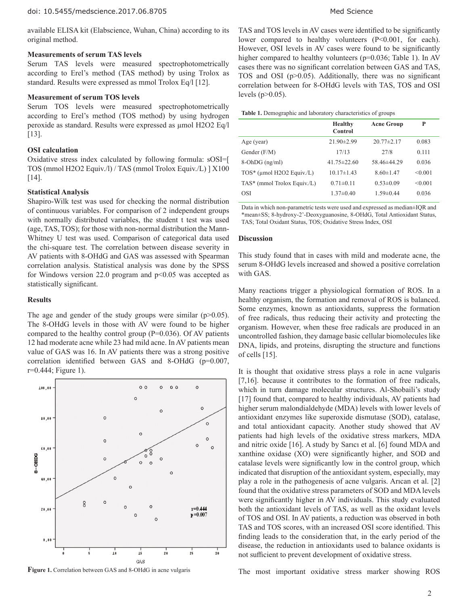available ELISA kit (Elabscience, Wuhan, China) according to its original method.

# **Measurements of serum TAS levels**

Serum TAS levels were measured spectrophotometrically according to Erel's method (TAS method) by using Trolox as standard. Results were expressed as mmol Trolox Eq/l [12].

# **Measurement of serum TOS levels**

Serum TOS levels were measured spectrophotometrically according to Erel's method (TOS method) by using hydrogen peroxide as standard. Results were expressed as µmol H2O2 Eq/l [13].

# **OSI calculation**

Oxidative stress index calculated by following formula: sOSI=[ TOS (mmol H2O2 Equiv./l) / TAS (mmol Trolox Equiv./L) ] X100 [14].

# **Statistical Analysis**

Shapiro-Wilk test was used for checking the normal distribution of continuous variables. For comparison of 2 independent groups with normally distributed variables, the student t test was used (age, TAS, TOS); for those with non-normal distribution the Mann-Whitney U test was used. Comparison of categorical data used the chi-square test. The correlation between disease severity in AV patients with 8-OHdG and GAS was assessed with Spearman correlation analysis. Statistical analysis was done by the SPSS for Windows version 22.0 program and p<0.05 was accepted as statistically significant.

#### **Results**

The age and gender of the study groups were similar  $(p>0.05)$ . The 8-OHdG levels in those with AV were found to be higher compared to the healthy control group ( $P=0.036$ ). Of AV patients 12 had moderate acne while 23 had mild acne. In AV patients mean value of GAS was 16. In AV patients there was a strong positive correlation identified between GAS and 8-OHdG (p=0.007, r=0.444; Figure 1).



**Figure 1.** Correlation between GAS and 8-OHdG in acne vulgaris

TAS and TOS levels in AV cases were identified to be significantly lower compared to healthy volunteers (P<0.001, for each). However, OSI levels in AV cases were found to be significantly higher compared to healthy volunteers (p=0.036; Table 1). In AV cases there was no significant correlation between GAS and TAS, TOS and OSI (p>0.05). Additionally, there was no significant correlation between for 8-OHdG levels with TAS, TOS and OSI levels ( $p > 0.05$ ).

| Table 1. Demographic and laboratory characteristics of groups |  |  |
|---------------------------------------------------------------|--|--|
|---------------------------------------------------------------|--|--|

|                             | <b>Healthy</b><br>Control | <b>Acne Group</b> | P       |
|-----------------------------|---------------------------|-------------------|---------|
| Age (year)                  | $21.90 \pm 2.99$          | $20.77 \pm 2.17$  | 0.083   |
| Gender $(F/M)$              | 17/13                     | 27/8              | 0.111   |
| $8$ -OhDG (ng/ml)           | $41.75 \pm 22.60$         | 58.46±44.29       | 0.036   |
| TOS* (µmol H2O2 Equiv./L)   | $10.17\pm1.43$            | $8.60 \pm 1.47$   | < 0.001 |
| TAS* (mmol Trolox Equiv./L) | $0.71 \pm 0.11$           | $0.53 \pm 0.09$   | < 0.001 |
| <b>OSI</b>                  | $1.37 \pm 0.40$           | $1.59 \pm 0.44$   | 0.036   |
|                             |                           |                   |         |

Data in which non-parametric tests were used and expressed as median±IQR and \*mean±SS; 8-hydroxy-2'-Deoxyguanosine, 8-OHdG, Total Antioxidant Status, TAS; Total Oxidant Status, TOS; Oxidative Stress Index, OSI

### **Discussion**

This study found that in cases with mild and moderate acne, the serum 8-OHdG levels increased and showed a positive correlation with GAS.

Many reactions trigger a physiological formation of ROS. In a healthy organism, the formation and removal of ROS is balanced. Some enzymes, known as antioxidants, suppress the formation of free radicals, thus reducing their activity and protecting the organism. However, when these free radicals are produced in an uncontrolled fashion, they damage basic cellular biomolecules like DNA, lipids, and proteins, disrupting the structure and functions of cells [15].

It is thought that oxidative stress plays a role in acne vulgaris [7,16]. because it contributes to the formation of free radicals, which in turn damage molecular structures. Al-Shobaili's study [17] found that, compared to healthy individuals, AV patients had higher serum malondialdehyde (MDA) levels with lower levels of antioxidant enzymes like superoxide dismutase (SOD), catalase, and total antioxidant capacity. Another study showed that AV patients had high levels of the oxidative stress markers, MDA and nitric oxide [16]. A study by Sarıcı et al. [6] found MDA and xanthine oxidase (XO) were significantly higher, and SOD and catalase levels were significantly low in the control group, which indicated that disruption of the antioxidant system, especially, may play a role in the pathogenesis of acne vulgaris. Arıcan et al. [2] found that the oxidative stress parameters of SOD and MDA levels were significantly higher in AV individuals. This study evaluated both the antioxidant levels of TAS, as well as the oxidant levels of TOS and OSI. In AV patients, a reduction was observed in both TAS and TOS scores, with an increased OSI score identified. This finding leads to the consideration that, in the early period of the disease, the reduction in antioxidants used to balance oxidants is not sufficient to prevent development of oxidative stress.

The most important oxidative stress marker showing ROS